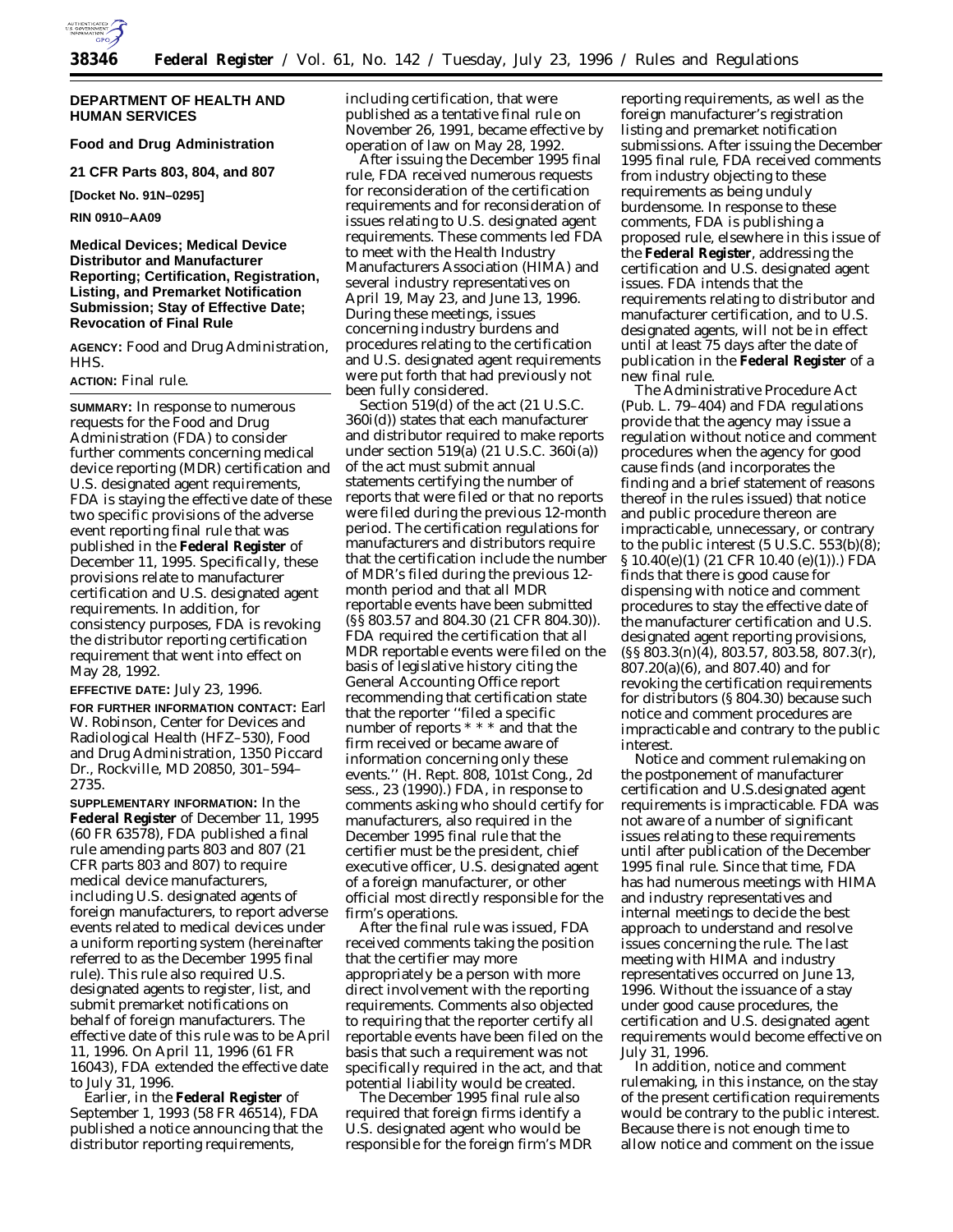

#### **DEPARTMENT OF HEALTH AND HUMAN SERVICES**

**Food and Drug Administration 21 CFR Parts 803, 804, and 807**

**[Docket No. 91N–0295]**

**RIN 0910–AA09**

# **Medical Devices; Medical Device Distributor and Manufacturer Reporting; Certification, Registration, Listing, and Premarket Notification Submission; Stay of Effective Date; Revocation of Final Rule**

**AGENCY:** Food and Drug Administration, HHS.

### **ACTION:** Final rule.

**SUMMARY:** In response to numerous requests for the Food and Drug Administration (FDA) to consider further comments concerning medical device reporting (MDR) certification and U.S. designated agent requirements, FDA is staying the effective date of these two specific provisions of the adverse event reporting final rule that was published in the **Federal Register** of December 11, 1995. Specifically, these provisions relate to manufacturer certification and U.S. designated agent requirements. In addition, for consistency purposes, FDA is revoking the distributor reporting certification requirement that went into effect on May 28, 1992.

**EFFECTIVE DATE:** July 23, 1996.

**FOR FURTHER INFORMATION CONTACT:** Earl W. Robinson, Center for Devices and Radiological Health (HFZ–530), Food and Drug Administration, 1350 Piccard Dr., Rockville, MD 20850, 301–594– 2735.

**SUPPLEMENTARY INFORMATION:** In the **Federal Register** of December 11, 1995 (60 FR 63578), FDA published a final rule amending parts 803 and 807 (21 CFR parts 803 and 807) to require medical device manufacturers, including U.S. designated agents of foreign manufacturers, to report adverse events related to medical devices under a uniform reporting system (hereinafter referred to as the December 1995 final rule). This rule also required U.S. designated agents to register, list, and submit premarket notifications on behalf of foreign manufacturers. The effective date of this rule was to be April 11, 1996. On April 11, 1996 (61 FR 16043), FDA extended the effective date to July 31, 1996.

Earlier, in the **Federal Register** of September 1, 1993 (58 FR 46514), FDA published a notice announcing that the distributor reporting requirements,

including certification, that were published as a tentative final rule on November 26, 1991, became effective by operation of law on May 28, 1992.

After issuing the December 1995 final rule, FDA received numerous requests for reconsideration of the certification requirements and for reconsideration of issues relating to U.S. designated agent requirements. These comments led FDA to meet with the Health Industry Manufacturers Association (HIMA) and several industry representatives on April 19, May 23, and June 13, 1996. During these meetings, issues concerning industry burdens and procedures relating to the certification and U.S. designated agent requirements were put forth that had previously not been fully considered.

Section 519(d) of the act (21 U.S.C. 360i(d)) states that each manufacturer and distributor required to make reports under section 519(a) (21 U.S.C. 360i(a)) of the act must submit annual statements certifying the number of reports that were filed or that no reports were filed during the previous 12-month period. The certification regulations for manufacturers and distributors require that the certification include the number of MDR's filed during the previous 12 month period and that all MDR reportable events have been submitted (§§ 803.57 and 804.30 (21 CFR 804.30)). FDA required the certification that all MDR reportable events were filed on the basis of legislative history citing the General Accounting Office report recommending that certification state that the reporter ''filed a specific number of reports \* \* \* and that the firm received or became aware of information concerning only these events.'' (H. Rept. 808, 101st Cong., 2d sess., 23 (1990).) FDA, in response to comments asking who should certify for manufacturers, also required in the December 1995 final rule that the certifier must be the president, chief executive officer, U.S. designated agent of a foreign manufacturer, or other official most directly responsible for the firm's operations.

After the final rule was issued, FDA received comments taking the position that the certifier may more appropriately be a person with more direct involvement with the reporting requirements. Comments also objected to requiring that the reporter certify all reportable events have been filed on the basis that such a requirement was not specifically required in the act, and that potential liability would be created.

The December 1995 final rule also required that foreign firms identify a U.S. designated agent who would be responsible for the foreign firm's MDR reporting requirements, as well as the foreign manufacturer's registration listing and premarket notification submissions. After issuing the December 1995 final rule, FDA received comments from industry objecting to these requirements as being unduly burdensome. In response to these comments, FDA is publishing a proposed rule, elsewhere in this issue of the **Federal Register**, addressing the certification and U.S. designated agent issues. FDA intends that the requirements relating to distributor and manufacturer certification, and to U.S. designated agents, will not be in effect until at least 75 days after the date of publication in the **Federal Register** of a new final rule.

The Administrative Procedure Act (Pub. L. 79–404) and FDA regulations provide that the agency may issue a regulation without notice and comment procedures when the agency for good cause finds (and incorporates the finding and a brief statement of reasons thereof in the rules issued) that notice and public procedure thereon are impracticable, unnecessary, or contrary to the public interest  $(5 \text{ U.S.C. } 553(b)(8))$ ; § 10.40(e)(1) (21 CFR 10.40 (e)(1)).) FDA finds that there is good cause for dispensing with notice and comment procedures to stay the effective date of the manufacturer certification and U.S. designated agent reporting provisions, (§§ 803.3(n)(4), 803.57, 803.58, 807.3(r), 807.20(a)(6), and 807.40) and for revoking the certification requirements for distributors (§ 804.30) because such notice and comment procedures are impracticable and contrary to the public interest.

Notice and comment rulemaking on the postponement of manufacturer certification and U.S.designated agent requirements is impracticable. FDA was not aware of a number of significant issues relating to these requirements until after publication of the December 1995 final rule. Since that time, FDA has had numerous meetings with HIMA and industry representatives and internal meetings to decide the best approach to understand and resolve issues concerning the rule. The last meeting with HIMA and industry representatives occurred on June 13, 1996. Without the issuance of a stay under good cause procedures, the certification and U.S. designated agent requirements would become effective on July 31, 1996.

In addition, notice and comment rulemaking, in this instance, on the stay of the present certification requirements would be contrary to the public interest. Because there is not enough time to allow notice and comment on the issue